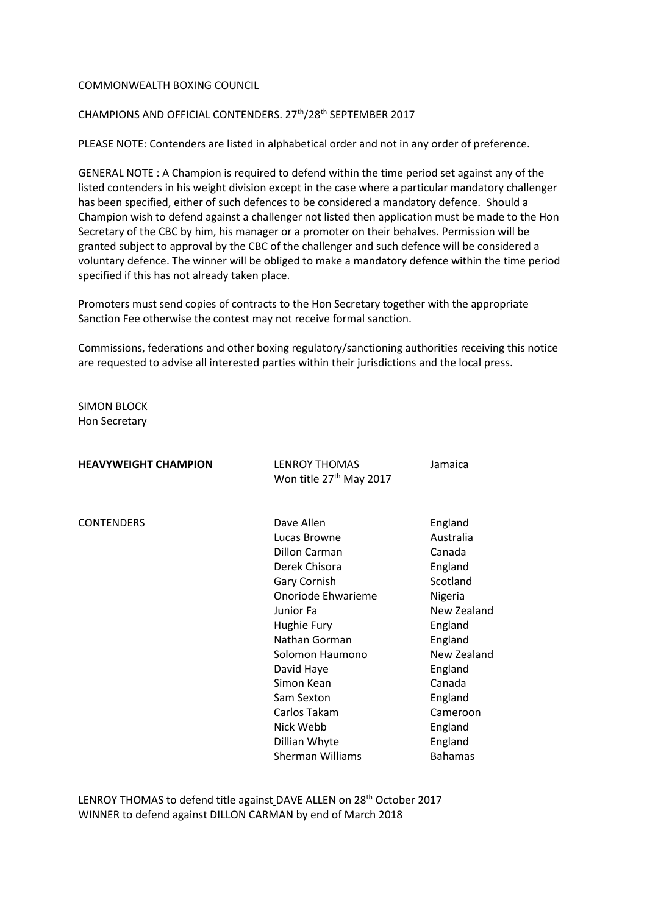## COMMONWEALTH BOXING COUNCIL

## CHAMPIONS AND OFFICIAL CONTENDERS. 27<sup>th</sup>/28<sup>th</sup> SEPTEMBER 2017

PLEASE NOTE: Contenders are listed in alphabetical order and not in any order of preference.

GENERAL NOTE : A Champion is required to defend within the time period set against any of the listed contenders in his weight division except in the case where a particular mandatory challenger has been specified, either of such defences to be considered a mandatory defence. Should a Champion wish to defend against a challenger not listed then application must be made to the Hon Secretary of the CBC by him, his manager or a promoter on their behalves. Permission will be granted subject to approval by the CBC of the challenger and such defence will be considered a voluntary defence. The winner will be obliged to make a mandatory defence within the time period specified if this has not already taken place.

Promoters must send copies of contracts to the Hon Secretary together with the appropriate Sanction Fee otherwise the contest may not receive formal sanction.

Commissions, federations and other boxing regulatory/sanctioning authorities receiving this notice are requested to advise all interested parties within their jurisdictions and the local press.

SIMON BLOCK Hon Secretary

| <b>HEAVYWEIGHT CHAMPION</b> | <b>LENROY THOMAS</b><br>Won title 27 <sup>th</sup> May 2017 | Jamaica        |
|-----------------------------|-------------------------------------------------------------|----------------|
|                             |                                                             |                |
| <b>CONTENDERS</b>           | Dave Allen                                                  | England        |
|                             | Lucas Browne                                                | Australia      |
|                             | Dillon Carman                                               | Canada         |
|                             | Derek Chisora                                               | England        |
|                             | Gary Cornish                                                | Scotland       |
|                             | Onoriode Ehwarieme                                          | Nigeria        |
|                             | Junior Fa                                                   | New Zealand    |
|                             | Hughie Fury                                                 | England        |
|                             | Nathan Gorman                                               | England        |
|                             | Solomon Haumono                                             | New Zealand    |
|                             | David Haye                                                  | England        |
|                             | Simon Kean                                                  | Canada         |
|                             | Sam Sexton                                                  | England        |
|                             | Carlos Takam                                                | Cameroon       |
|                             | Nick Webb                                                   | England        |
|                             | Dillian Whyte                                               | England        |
|                             | <b>Sherman Williams</b>                                     | <b>Bahamas</b> |

LENROY THOMAS to defend title against DAVE ALLEN on 28<sup>th</sup> October 2017 WINNER to defend against DILLON CARMAN by end of March 2018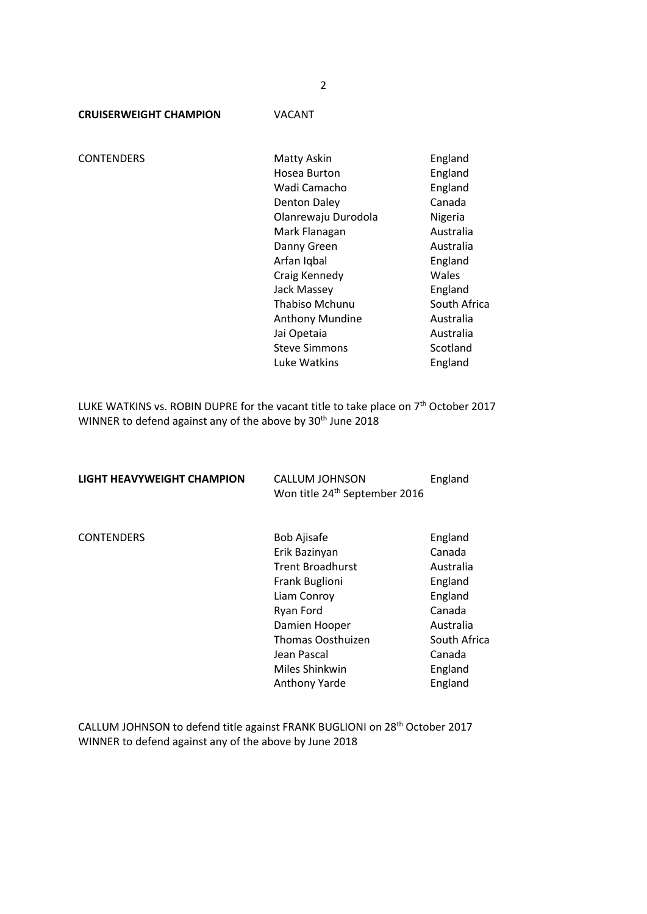**CRUISERWEIGHT CHAMPION** VACANT

CONTENDERS Matty Askin England<br>Hosea Burton England Hosea Huton Hosea Burton Wadi Camacho **England** Denton Daley Canada Olanrewaju Durodola Nigeria Mark Flanagan **Australia** Danny Green Australia Arfan Iqbal **England** Craig Kennedy Wales Jack Massey **England** Thabiso Mchunu South Africa Anthony Mundine **Australia** Jai Opetaia **Australia** Steve Simmons Scotland Luke Watkins England

LUKE WATKINS vs. ROBIN DUPRE for the vacant title to take place on 7<sup>th</sup> October 2017 WINNER to defend against any of the above by 30<sup>th</sup> June 2018

| LIGHT HEAVYWEIGHT CHAMPION | <b>CALLUM JOHNSON</b><br>Won title 24 <sup>th</sup> September 2016 | England      |
|----------------------------|--------------------------------------------------------------------|--------------|
| <b>CONTENDERS</b>          | <b>Bob Ajisafe</b>                                                 | England      |
|                            | Erik Bazinyan                                                      | Canada       |
|                            | <b>Trent Broadhurst</b>                                            | Australia    |
|                            | Frank Buglioni                                                     | England      |
|                            | Liam Conroy                                                        | England      |
|                            | Ryan Ford                                                          | Canada       |
|                            | Damien Hooper                                                      | Australia    |
|                            | <b>Thomas Oosthuizen</b>                                           | South Africa |
|                            | Jean Pascal                                                        | Canada       |
|                            | Miles Shinkwin                                                     | England      |
|                            | <b>Anthony Yarde</b>                                               | England      |

CALLUM JOHNSON to defend title against FRANK BUGLIONI on 28th October 2017 WINNER to defend against any of the above by June 2018

2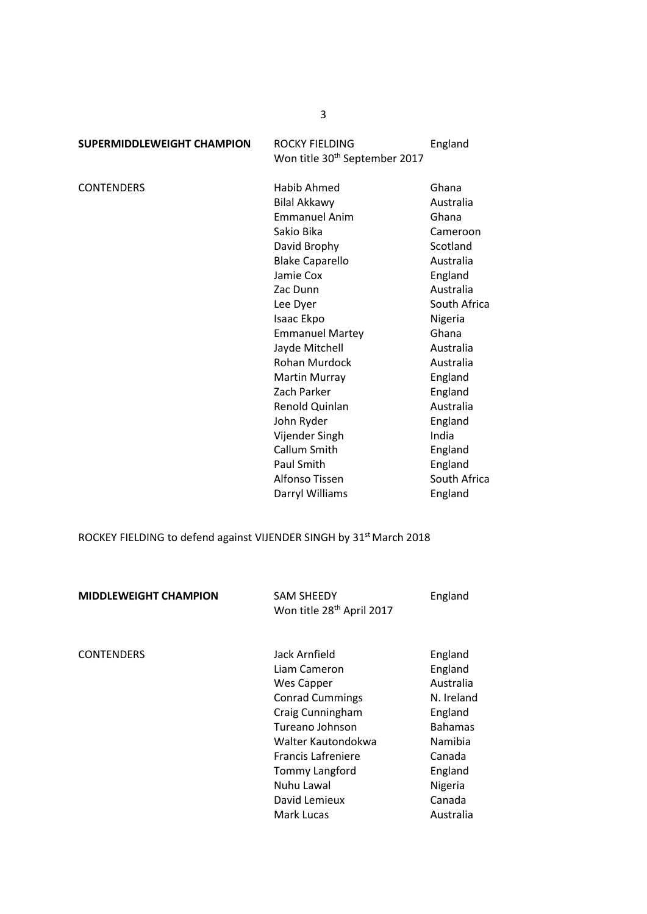| <b>SUPERMIDDLEWEIGHT CHAMPION</b> | <b>ROCKY FIELDING</b>                     | England      |
|-----------------------------------|-------------------------------------------|--------------|
|                                   | Won title 30 <sup>th</sup> September 2017 |              |
| <b>CONTENDERS</b>                 | Habib Ahmed                               | Ghana        |
|                                   | <b>Bilal Akkawy</b>                       | Australia    |
|                                   | <b>Emmanuel Anim</b>                      | Ghana        |
|                                   | Sakio Bika                                | Cameroon     |
|                                   | David Brophy                              | Scotland     |
|                                   | <b>Blake Caparello</b>                    | Australia    |
|                                   | Jamie Cox                                 | England      |
|                                   | Zac Dunn                                  | Australia    |
|                                   | Lee Dyer                                  | South Africa |
|                                   | Isaac Ekpo                                | Nigeria      |
|                                   | <b>Emmanuel Martey</b>                    | Ghana        |
|                                   | Jayde Mitchell                            | Australia    |
|                                   | Rohan Murdock                             | Australia    |
|                                   | <b>Martin Murray</b>                      | England      |
|                                   | Zach Parker                               | England      |
|                                   | Renold Quinlan                            | Australia    |
|                                   | John Ryder                                | England      |
|                                   | Vijender Singh                            | India        |
|                                   | Callum Smith                              | England      |
|                                   | Paul Smith                                | England      |
|                                   | Alfonso Tissen                            | South Africa |

ROCKEY FIELDING to defend against VIJENDER SINGH by 31<sup>st</sup> March 2018

| <b>MIDDLEWEIGHT CHAMPION</b> | <b>SAM SHEEDY</b><br>Won title 28 <sup>th</sup> April 2017                                                                                                                                                                            | England                                                                                                                                      |
|------------------------------|---------------------------------------------------------------------------------------------------------------------------------------------------------------------------------------------------------------------------------------|----------------------------------------------------------------------------------------------------------------------------------------------|
| <b>CONTENDERS</b>            | Jack Arnfield<br>Liam Cameron<br>Wes Capper<br><b>Conrad Cummings</b><br>Craig Cunningham<br>Tureano Johnson<br>Walter Kautondokwa<br><b>Francis Lafreniere</b><br><b>Tommy Langford</b><br>Nuhu Lawal<br>David Lemieux<br>Mark Lucas | England<br>England<br>Australia<br>N. Ireland<br>England<br><b>Bahamas</b><br>Namibia<br>Canada<br>England<br>Nigeria<br>Canada<br>Australia |

3

Darryl Williams **England**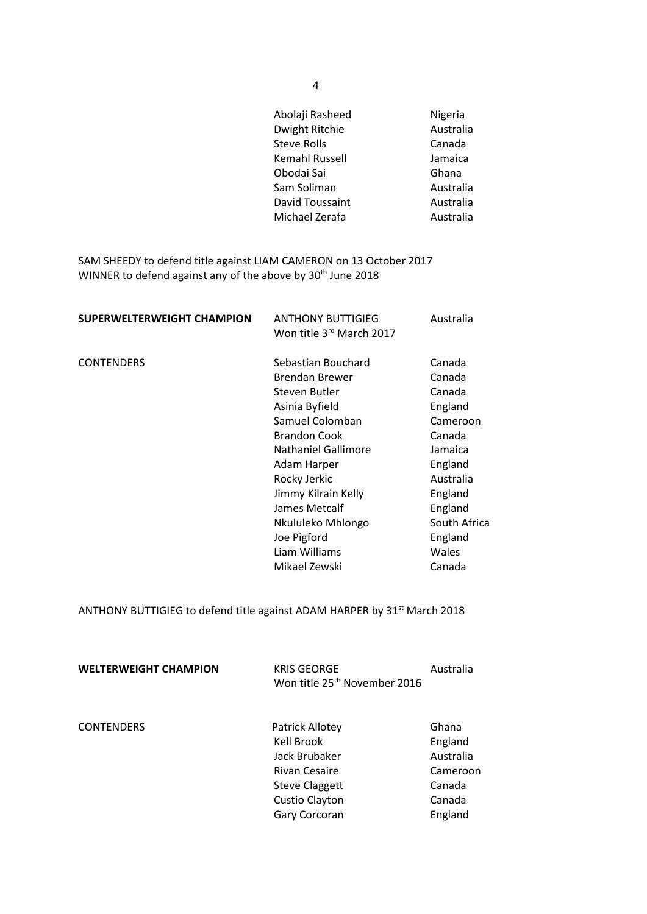|                                                                                                                                               | Abolaji Rasheed<br>Dwight Ritchie<br><b>Steve Rolls</b><br>Kemahl Russell<br>Obodai Sai<br>Sam Soliman<br>David Toussaint<br>Michael Zerafa | Nigeria<br>Australia<br>Canada<br>Jamaica<br>Ghana<br>Australia<br>Australia<br>Australia |
|-----------------------------------------------------------------------------------------------------------------------------------------------|---------------------------------------------------------------------------------------------------------------------------------------------|-------------------------------------------------------------------------------------------|
| SAM SHEEDY to defend title against LIAM CAMERON on 13 October 2017<br>WINNER to defend against any of the above by 30 <sup>th</sup> June 2018 |                                                                                                                                             |                                                                                           |
| <b>SUPERWELTERWEIGHT CHAMPION</b>                                                                                                             | <b>ANTHONY BUTTIGIEG</b><br>Won title 3rd March 2017                                                                                        | Australia                                                                                 |
| <b>CONTENDERS</b>                                                                                                                             | Sebastian Bouchard<br><b>Brendan Brewer</b><br>Steven Butler<br>Asinia Byfield<br>Samuel Colomban<br><b>Brandon Cook</b>                    | Canada<br>Canada<br>Canada<br>England<br>Cameroon<br>Canada                               |

Nkululeko Mhlongo

Liam Williams

Nathaniel Gallimore Jamaica Adam Harper **England** Rocky Jerkic **Australia** Jimmy Kilrain Kelly<br>James Metcalf **England** James Metcalf<br>
Nkululeko Mhlongo South Africa

Joe Pigford<br>
Liam Williams<br>
Unales

Mikael Zewski Canada

ANTHONY BUTTIGIEG to defend title against ADAM HARPER by 31<sup>st</sup> March 2018

| <b>WELTERWEIGHT CHAMPION</b> | <b>KRIS GEORGE</b><br>Won title 25 <sup>th</sup> November 2016                                                                     | Australia                                                                |
|------------------------------|------------------------------------------------------------------------------------------------------------------------------------|--------------------------------------------------------------------------|
| <b>CONTENDERS</b>            | <b>Patrick Allotey</b><br>Kell Brook<br>Jack Brubaker<br>Rivan Cesaire<br><b>Steve Claggett</b><br>Custio Clayton<br>Gary Corcoran | Ghana<br>England<br>Australia<br>Cameroon<br>Canada<br>Canada<br>England |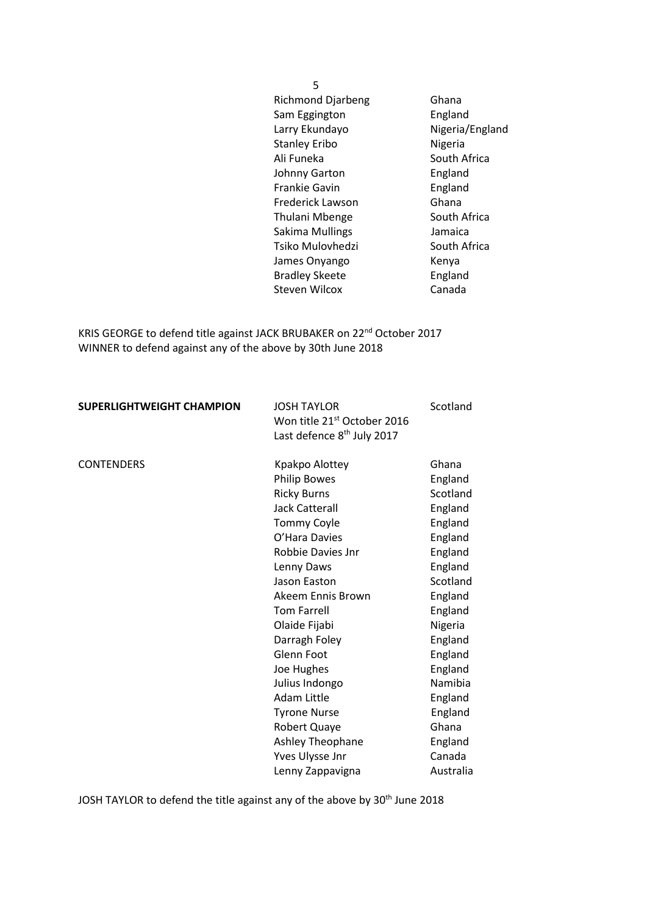5 Richmond Djarbeng Ghana Sam Eggington **England** Larry Ekundayo Nigeria/England Stanley Eribo Nigeria Ali Funeka South Africa Johnny Garton Frankie Gavin **England** Frederick Lawson Ghana Thulani Mbenge South Africa Sakima Mullings **Jamaica** Tsiko Mulovhedzi South Africa James Onyango Kenya Bradley Skeete England Steven Wilcox Canada

KRIS GEORGE to defend title against JACK BRUBAKER on 22<sup>nd</sup> October 2017 WINNER to defend against any of the above by 30th June 2018

| <b>SUPERLIGHTWEIGHT CHAMPION</b> | <b>JOSH TAYLOR</b><br>Won title 21st October 2016<br>Last defence 8 <sup>th</sup> July 2017 | Scotland  |
|----------------------------------|---------------------------------------------------------------------------------------------|-----------|
| <b>CONTENDERS</b>                | Kpakpo Alottey                                                                              | Ghana     |
|                                  | <b>Philip Bowes</b>                                                                         | England   |
|                                  | <b>Ricky Burns</b>                                                                          | Scotland  |
|                                  | <b>Jack Catterall</b>                                                                       | England   |
|                                  | <b>Tommy Coyle</b>                                                                          | England   |
|                                  | O'Hara Davies                                                                               | England   |
|                                  | Robbie Davies Jnr                                                                           | England   |
|                                  | Lenny Daws                                                                                  | England   |
|                                  | Jason Easton                                                                                | Scotland  |
|                                  | Akeem Ennis Brown                                                                           | England   |
|                                  | <b>Tom Farrell</b>                                                                          | England   |
|                                  | Olaide Fijabi                                                                               | Nigeria   |
|                                  | Darragh Foley                                                                               | England   |
|                                  | Glenn Foot                                                                                  | England   |
|                                  | Joe Hughes                                                                                  | England   |
|                                  | Julius Indongo                                                                              | Namibia   |
|                                  | Adam Little                                                                                 | England   |
|                                  | <b>Tyrone Nurse</b>                                                                         | England   |
|                                  | Robert Quaye                                                                                | Ghana     |
|                                  | Ashley Theophane                                                                            | England   |
|                                  | Yves Ulysse Jnr                                                                             | Canada    |
|                                  | Lenny Zappavigna                                                                            | Australia |

JOSH TAYLOR to defend the title against any of the above by 30<sup>th</sup> June 2018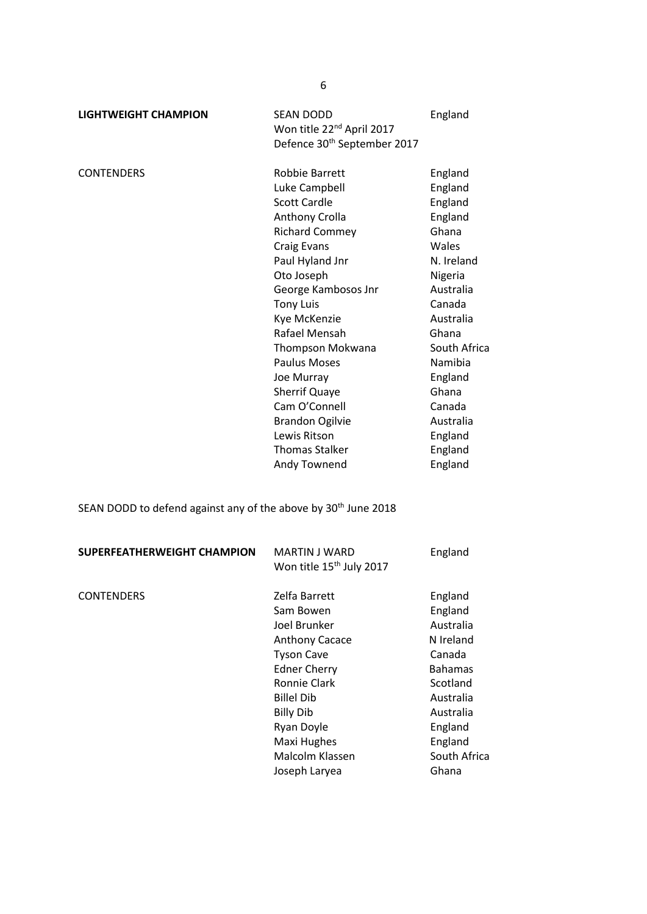| <b>LIGHTWEIGHT CHAMPION</b> | <b>SEAN DODD</b><br>Won title 22 <sup>nd</sup> April 2017<br>Defence 30 <sup>th</sup> September 2017                                                                                                                                                                                                           | England                                                                                                                                                                         |
|-----------------------------|----------------------------------------------------------------------------------------------------------------------------------------------------------------------------------------------------------------------------------------------------------------------------------------------------------------|---------------------------------------------------------------------------------------------------------------------------------------------------------------------------------|
| <b>CONTENDERS</b>           | Robbie Barrett<br>Luke Campbell<br><b>Scott Cardle</b><br>Anthony Crolla<br><b>Richard Commey</b><br>Craig Evans<br>Paul Hyland Jnr<br>Oto Joseph<br>George Kambosos Jnr<br><b>Tony Luis</b><br>Kye McKenzie<br>Rafael Mensah<br>Thompson Mokwana<br><b>Paulus Moses</b><br>Joe Murray<br><b>Sherrif Quaye</b> | England<br>England<br>England<br>England<br>Ghana<br>Wales<br>N. Ireland<br>Nigeria<br>Australia<br>Canada<br>Australia<br>Ghana<br>South Africa<br>Namibia<br>England<br>Ghana |
|                             |                                                                                                                                                                                                                                                                                                                |                                                                                                                                                                                 |

Cam O'Connell Canada Brandon Ogilvie **Australia**<br>
Lewis Ritson **Communist Control** Lewis Ritson **England**<br> **Thomas Stalker England** Thomas Stalker England<br>
Andy Townend England

SEAN DODD to defend against any of the above by 30<sup>th</sup> June 2018

| SUPERFEATHERWEIGHT CHAMPION | MARTIN J WARD<br>Won title 15 <sup>th</sup> July 2017                                                                                                                                                                                     | England                                                                                                                                                       |
|-----------------------------|-------------------------------------------------------------------------------------------------------------------------------------------------------------------------------------------------------------------------------------------|---------------------------------------------------------------------------------------------------------------------------------------------------------------|
| <b>CONTENDERS</b>           | Zelfa Barrett<br>Sam Bowen<br>Joel Brunker<br><b>Anthony Cacace</b><br><b>Tyson Cave</b><br><b>Edner Cherry</b><br>Ronnie Clark<br><b>Billel Dib</b><br><b>Billy Dib</b><br>Ryan Doyle<br>Maxi Hughes<br>Malcolm Klassen<br>Joseph Laryea | England<br>England<br>Australia<br>N Ireland<br>Canada<br><b>Bahamas</b><br>Scotland<br>Australia<br>Australia<br>England<br>England<br>South Africa<br>Ghana |
|                             |                                                                                                                                                                                                                                           |                                                                                                                                                               |

Andy Townend

6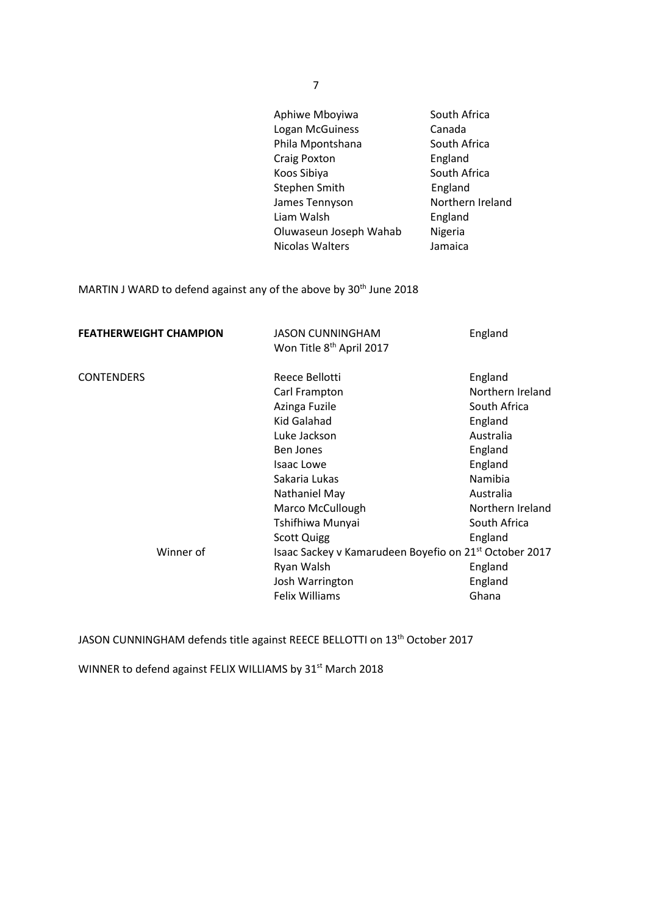| Aphiwe Mboyiwa         | South Africa     |
|------------------------|------------------|
| Logan McGuiness        | Canada           |
| Phila Mpontshana       | South Africa     |
| <b>Craig Poxton</b>    | England          |
| Koos Sibiya            | South Africa     |
| Stephen Smith          | England          |
| James Tennyson         | Northern Ireland |
| Liam Walsh             | England          |
| Oluwaseun Joseph Wahab | Nigeria          |
| Nicolas Walters        | Jamaica          |

MARTIN J WARD to defend against any of the above by 30<sup>th</sup> June 2018

| <b>FEATHERWEIGHT CHAMPION</b>  | <b>JASON CUNNINGHAM</b><br>Won Title 8 <sup>th</sup> April 2017                                                                                                                                                                                                                                                          | England                                                                                                                                                                                |
|--------------------------------|--------------------------------------------------------------------------------------------------------------------------------------------------------------------------------------------------------------------------------------------------------------------------------------------------------------------------|----------------------------------------------------------------------------------------------------------------------------------------------------------------------------------------|
| <b>CONTENDERS</b><br>Winner of | Reece Bellotti<br>Carl Frampton<br>Azinga Fuzile<br>Kid Galahad<br>Luke Jackson<br>Ben Jones<br><b>Isaac Lowe</b><br>Sakaria Lukas<br>Nathaniel May<br>Marco McCullough<br>Tshifhiwa Munyai<br><b>Scott Quigg</b><br>Isaac Sackey v Kamarudeen Boyefio on 21 <sup>st</sup> October 2017<br>Ryan Walsh<br>Josh Warrington | England<br>Northern Ireland<br>South Africa<br>England<br>Australia<br>England<br>England<br>Namibia<br>Australia<br>Northern Ireland<br>South Africa<br>England<br>England<br>England |
|                                | Felix Williams                                                                                                                                                                                                                                                                                                           | Ghana                                                                                                                                                                                  |

JASON CUNNINGHAM defends title against REECE BELLOTTI on 13th October 2017

WINNER to defend against FELIX WILLIAMS by 31<sup>st</sup> March 2018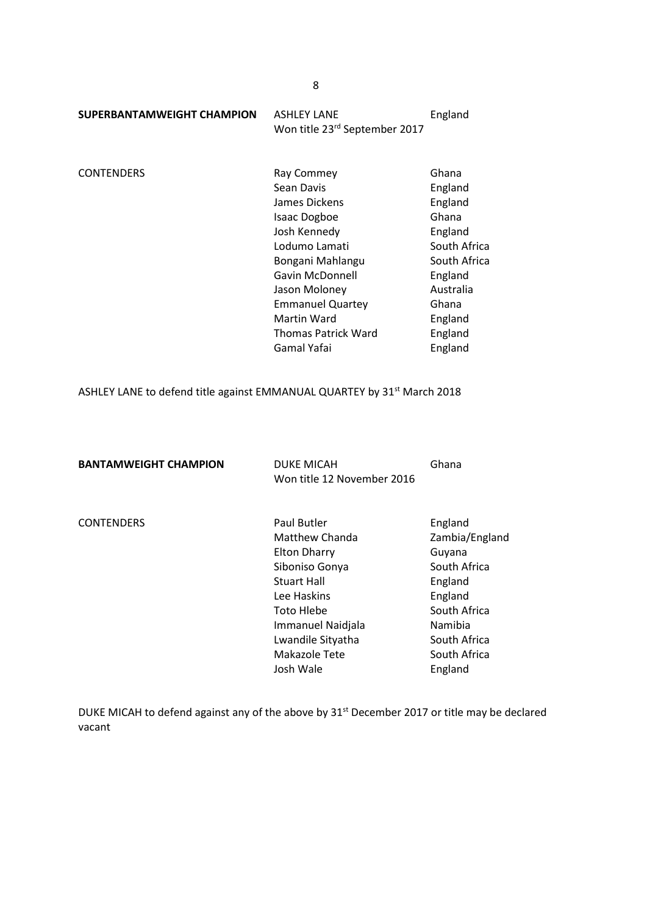| SUPERBANTAMWEIGHT CHAMPION | ASHLEY LANE                   | England |
|----------------------------|-------------------------------|---------|
|                            | Won title 23rd September 2017 |         |

CONTENDERS Ray Commey Ghana<br>
Sean Davis Sear Control of England Sean Davis James Dickens **England** Isaac Dogboe Ghana Josh Kennedy **England** Lodumo Lamati South Africa Bongani Mahlangu South Africa Gavin McDonnell **England** Jason Moloney **Australia**  Emmanuel Quartey Ghana Martin Ward **England** Thomas Patrick Ward England Gamal Yafai **England** 

ASHLEY LANE to defend title against EMMANUAL QUARTEY by 31<sup>st</sup> March 2018

| <b>BANTAMWEIGHT CHAMPION</b> | <b>DUKE MICAH</b><br>Won title 12 November 2016                                                                                                                                                          | Ghana                                                                                                                                           |
|------------------------------|----------------------------------------------------------------------------------------------------------------------------------------------------------------------------------------------------------|-------------------------------------------------------------------------------------------------------------------------------------------------|
| <b>CONTENDERS</b>            | Paul Butler<br>Matthew Chanda<br><b>Elton Dharry</b><br>Siboniso Gonya<br><b>Stuart Hall</b><br>Lee Haskins<br>Toto Hlebe<br>Immanuel Naidjala<br>Lwandile Sityatha<br><b>Makazole Tete</b><br>Josh Wale | England<br>Zambia/England<br>Guyana<br>South Africa<br>England<br>England<br>South Africa<br>Namibia<br>South Africa<br>South Africa<br>England |

DUKE MICAH to defend against any of the above by 31<sup>st</sup> December 2017 or title may be declared vacant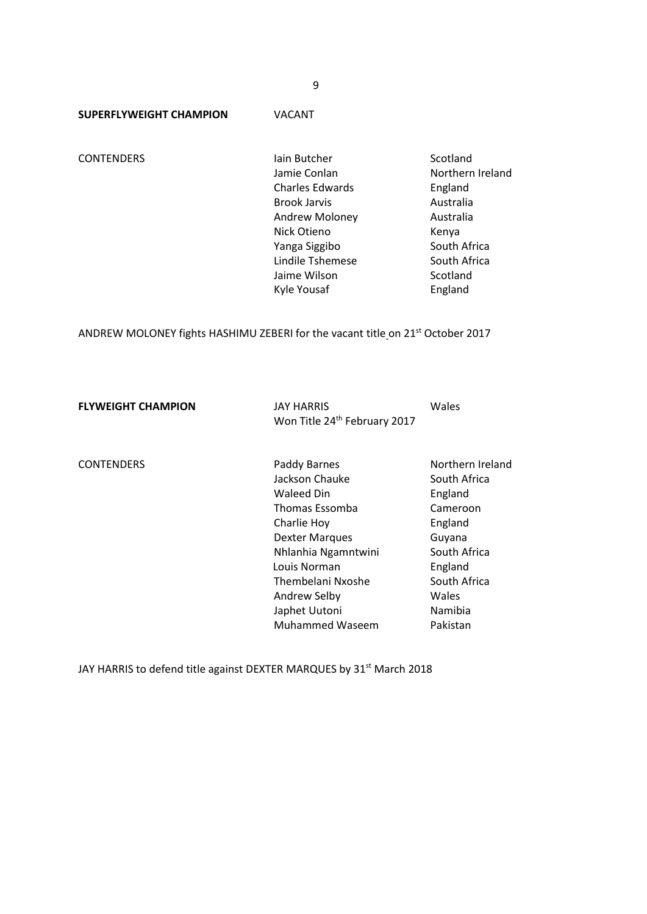9

**SUPERFLYWEIGHT CHAMPION** VACANT

**CONTENDERS Iain Butcher Scotland** Jamie Conlan Northern Ireland Charles Edwards England Brook Jarvis **Australia** Andrew Moloney Australia Nick Otieno **Kenya** Yanga Siggibo South Africa Lindile Tshemese South Africa Jaime Wilson Scotland Kyle Yousaf **England** 

ANDREW MOLONEY fights HASHIMU ZEBERI for the vacant title on 21<sup>st</sup> October 2017

**FLYWEIGHT CHAMPION** JAY HARRIS Wales Won Title 24<sup>th</sup> February 2017

CONTENDERS Paddy Barnes Northern Ireland Jackson Chauke South Africa Waleed Din England Thomas Essomba Cameroon Charlie Hoy England Dexter Marques Guyana Nhlanhia Ngamntwini South Africa Louis Norman **England** Thembelani Nxoshe South Africa Andrew Selby Wales Japhet Uutoni Namibia Muhammed Waseem Pakistan

JAY HARRIS to defend title against DEXTER MARQUES by 31<sup>st</sup> March 2018